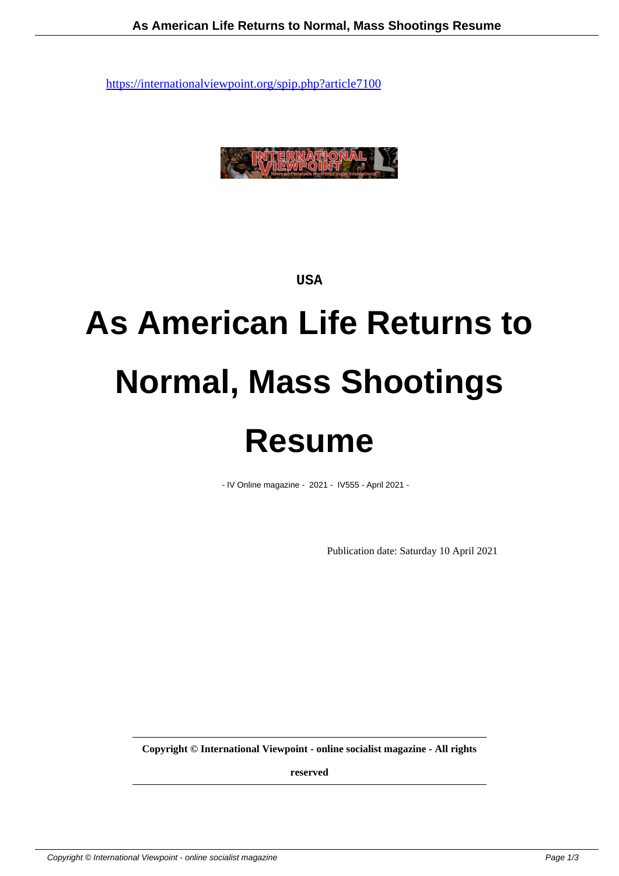

**USA**

## **As American Life Returns to Normal, Mass Shootings Resume**

- IV Online magazine - 2021 - IV555 - April 2021 -

Publication date: Saturday 10 April 2021

**Copyright © International Viewpoint - online socialist magazine - All rights**

**reserved**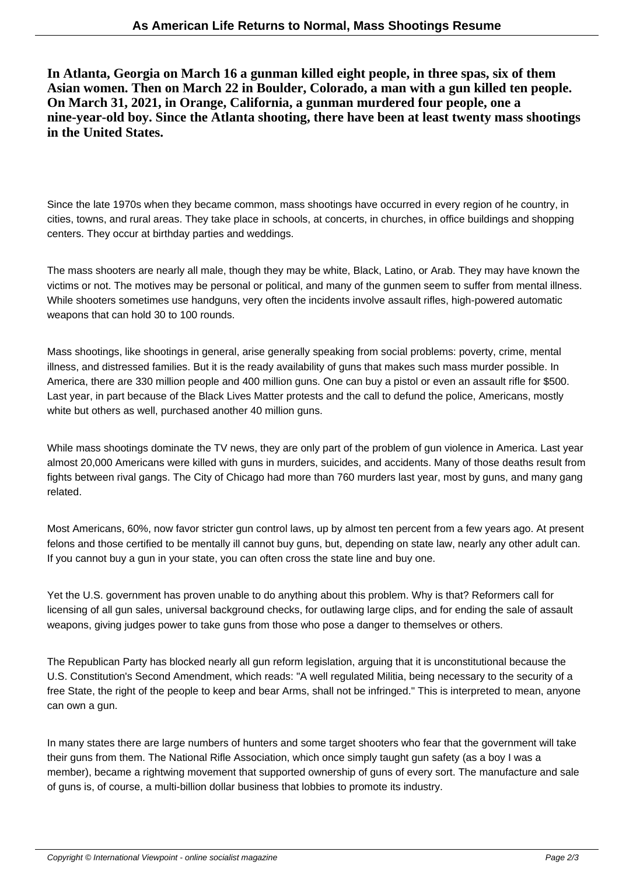**In Atlanta, Georgia on March 16 a gunman killed eight people, in three spas, six of them Asian women. Then on March 22 in Boulder, Colorado, a man with a gun killed ten people. On March 31, 2021, in Orange, California, a gunman murdered four people, one a nine-year-old boy. Since the Atlanta shooting, there have been at least twenty mass shootings in the United States.**

Since the late 1970s when they became common, mass shootings have occurred in every region of he country, in cities, towns, and rural areas. They take place in schools, at concerts, in churches, in office buildings and shopping centers. They occur at birthday parties and weddings.

The mass shooters are nearly all male, though they may be white, Black, Latino, or Arab. They may have known the victims or not. The motives may be personal or political, and many of the gunmen seem to suffer from mental illness. While shooters sometimes use handguns, very often the incidents involve assault rifles, high-powered automatic weapons that can hold 30 to 100 rounds.

Mass shootings, like shootings in general, arise generally speaking from social problems: poverty, crime, mental illness, and distressed families. But it is the ready availability of guns that makes such mass murder possible. In America, there are 330 million people and 400 million guns. One can buy a pistol or even an assault rifle for \$500. Last year, in part because of the Black Lives Matter protests and the call to defund the police, Americans, mostly white but others as well, purchased another 40 million guns.

While mass shootings dominate the TV news, they are only part of the problem of gun violence in America. Last year almost 20,000 Americans were killed with guns in murders, suicides, and accidents. Many of those deaths result from fights between rival gangs. The City of Chicago had more than 760 murders last year, most by guns, and many gang related.

Most Americans, 60%, now favor stricter gun control laws, up by almost ten percent from a few years ago. At present felons and those certified to be mentally ill cannot buy guns, but, depending on state law, nearly any other adult can. If you cannot buy a gun in your state, you can often cross the state line and buy one.

Yet the U.S. government has proven unable to do anything about this problem. Why is that? Reformers call for licensing of all gun sales, universal background checks, for outlawing large clips, and for ending the sale of assault weapons, giving judges power to take guns from those who pose a danger to themselves or others.

The Republican Party has blocked nearly all gun reform legislation, arguing that it is unconstitutional because the U.S. Constitution's Second Amendment, which reads: "A well regulated Militia, being necessary to the security of a free State, the right of the people to keep and bear Arms, shall not be infringed." This is interpreted to mean, anyone can own a gun.

In many states there are large numbers of hunters and some target shooters who fear that the government will take their guns from them. The National Rifle Association, which once simply taught gun safety (as a boy I was a member), became a rightwing movement that supported ownership of guns of every sort. The manufacture and sale of guns is, of course, a multi-billion dollar business that lobbies to promote its industry.